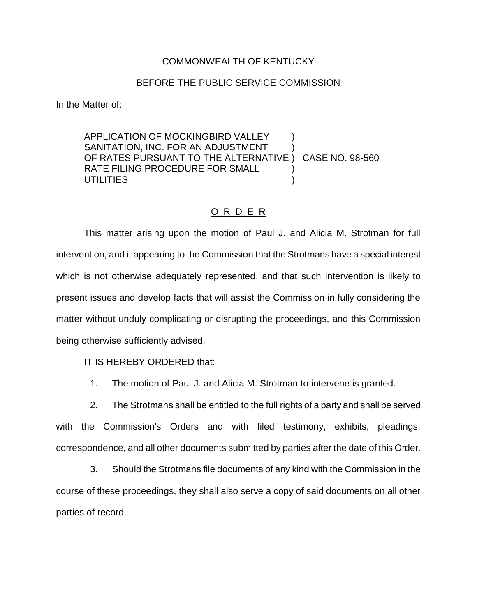## COMMONWEALTH OF KENTUCKY

## BEFORE THE PUBLIC SERVICE COMMISSION

In the Matter of:

APPLICATION OF MOCKINGBIRD VALLEY SANITATION, INC. FOR AN ADJUSTMENT OF RATES PURSUANT TO THE ALTERNATIVE ) CASE NO. 98-560 RATE FILING PROCEDURE FOR SMALL **UTILITIES** 

## O R D E R

This matter arising upon the motion of Paul J. and Alicia M. Strotman for full intervention, and it appearing to the Commission that the Strotmans have a special interest which is not otherwise adequately represented, and that such intervention is likely to present issues and develop facts that will assist the Commission in fully considering the matter without unduly complicating or disrupting the proceedings, and this Commission being otherwise sufficiently advised,

IT IS HEREBY ORDERED that:

1. The motion of Paul J. and Alicia M. Strotman to intervene is granted.

2. The Strotmans shall be entitled to the full rights of a party and shall be served with the Commission's Orders and with filed testimony, exhibits, pleadings, correspondence, and all other documents submitted by parties after the date of this Order.

3. Should the Strotmans file documents of any kind with the Commission in the course of these proceedings, they shall also serve a copy of said documents on all other parties of record.